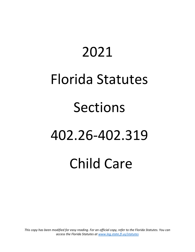# 2021 Florida Statutes Sections 402.26-402.319 Child Care

*This copy has been modified for easy reading. For an official copy, refer to the Florida Statutes. You can access the Florida Statutes at [www.leg.state.fl.us/statutes](http://www.leg.state.fl.us/statutes/)*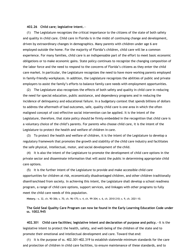#### **402.26 Child care; legislative intent.**—

(1) The Legislature recognizes the critical importance to the citizens of the state of both safety and quality in child care. Child care in Florida is in the midst of continuing change and development, driven by extraordinary changes in demographics. Many parents with children under age 6 are employed outside the home. For the majority of Florida's children, child care will be a common experience. For many families, child care is an indispensable part of the effort to meet basic economic obligations or to make economic gains. State policy continues to recognize the changing composition of the labor force and the need to respond to the concerns of Florida's citizens as they enter the child care market. In particular, the Legislature recognizes the need to have more working parents employed in family-friendly workplaces. In addition, the Legislature recognizes the abilities of public and private employers to assist the family's efforts to balance family care needs with employment opportunities.

(2) The Legislature also recognizes the effects of both safety and quality in child care in reducing the need for special education, public assistance, and dependency programs and in reducing the incidence of delinquency and educational failure. In a budgetary context that spends billions of dollars to address the aftermath of bad outcomes, safe, quality child care is one area in which the often maligned concept of cost-effective social intervention can be applied. It is the intent of the Legislature, therefore, that state policy should be firmly embedded in the recognition that child care is a voluntary choice of the child's parents. For parents who choose child care, it is the intent of the Legislature to protect the health and welfare of children in care.

(3) To protect the health and welfare of children, it is the intent of the Legislature to develop a regulatory framework that promotes the growth and stability of the child care industry and facilitates the safe physical, intellectual, motor, and social development of the child.

(4) It is also the intent of the Legislature to promote the development of child care options in the private sector and disseminate information that will assist the public in determining appropriate child care options.

(5) It is the further intent of the Legislature to provide and make accessible child care opportunities for children at risk, economically disadvantaged children, and other children traditionally disenfranchised from society. In achieving this intent, the Legislature shall develop a school readiness program, a range of child care options, support services, and linkages with other programs to fully meet the child care needs of this population.

**History.**—s. 32, ch. 90-306; s. 70, ch. 96-175; s. 4, ch. 99-304; s. 6, ch. 2010-210; s. 9, ch. 2021-10.

# **The Gold Seal Quality Care Program can now be found in the Early Learning Education Code under ss. 1002.945**

**402.301 Child care facilities; legislative intent and declaration of purpose and policy.**—It is the legislative intent to protect the health, safety, and well-being of the children of the state and to promote their emotional and intellectual development and care. Toward that end:

(1) It is the purpose of ss. 402.301-402.319 to establish statewide minimum standards for the care and protection of children in child care facilities, to ensure maintenance of these standards, and to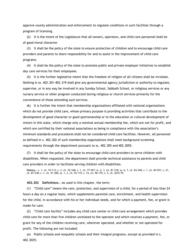approve county administration and enforcement to regulate conditions in such facilities through a program of licensing.

(2) It is the intent of the Legislature that all owners, operators, and child care personnel shall be of good moral character.

(3) It shall be the policy of the state to ensure protection of children and to encourage child care providers and parents to share responsibility for and to assist in the improvement of child care programs.

(4) It shall be the policy of the state to promote public and private employer initiatives to establish day care services for their employees.

(5) It is the further legislative intent that the freedom of religion of all citizens shall be inviolate. Nothing in ss. 402.301-402.319 shall give any governmental agency jurisdiction or authority to regulate, supervise, or in any way be involved in any Sunday School, Sabbath School, or religious services or any nursery service or other program conducted during religious or church services primarily for the convenience of those attending such services.

(6) It is further the intent that membership organizations affiliated with national organizations which do not provide child care, whose primary purpose is providing activities that contribute to the development of good character or good sportsmanship or to the education or cultural development of minors in this state, which charge only a nominal annual membership fee, which are not for profit, and which are certified by their national associations as being in compliance with the association's minimum standards and procedures shall not be considered child care facilities. However, all personnel as defined in s. 402.302 of such membership organizations shall meet background screening requirements through the department pursuant to ss. 402.305 and 402.3055.

(7) It shall be the policy of the state to encourage child care providers to serve children with disabilities. When requested, the department shall provide technical assistance to parents and child care providers in order to facilitate serving children with disabilities.

**History.**—s. 1, ch. 74-113; s. 3, ch. 76-168; s. 1, ch. 77-457; ss. 2, 3, ch. 81-318; ss. 6, 7, ch. 83-248; s. 1, ch. 84-551; s. 21, ch. 87-238; s. 1, ch. 91-300; ss. 1, 2, ch. 93-115; s. 74, ch. 96-175; s. 5, ch. 2015-79.

**402.302 Definitions.**—As used in this chapter, the term:

(1) "Child care" means the care, protection, and supervision of a child, for a period of less than 24 hours a day on a regular basis, which supplements parental care, enrichment, and health supervision for the child, in accordance with his or her individual needs, and for which a payment, fee, or grant is made for care.

(2) "Child care facility" includes any child care center or child care arrangement which provides child care for more than five children unrelated to the operator and which receives a payment, fee, or grant for any of the children receiving care, wherever operated, and whether or not operated for profit. The following are not included:

(a) Public schools and nonpublic schools and their integral programs, except as provided in s. 402.3025;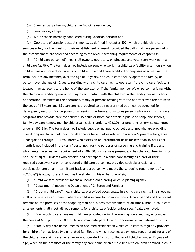- (b) Summer camps having children in full-time residence;
- (c) Summer day camps;
- (d) Bible schools normally conducted during vacation periods; and

(e) Operators of transient establishments, as defined in chapter 509, which provide child care services solely for the guests of their establishment or resort, provided that all child care personnel of the establishment are screened according to the level 2 screening requirements of chapter 435.

(3) "Child care personnel" means all owners, operators, employees, and volunteers working in a child care facility. The term does not include persons who work in a child care facility after hours when children are not present or parents of children in a child care facility. For purposes of screening, the term includes any member, over the age of 12 years, of a child care facility operator's family, or person, over the age of 12 years, residing with a child care facility operator if the child care facility is located in or adjacent to the home of the operator or if the family member of, or person residing with, the child care facility operator has any direct contact with the children in the facility during its hours of operation. Members of the operator's family or persons residing with the operator who are between the ages of 12 years and 18 years are not required to be fingerprinted but must be screened for delinquency records. For purposes of screening, the term also includes persons who work in child care programs that provide care for children 15 hours or more each week in public or nonpublic schools, family day care homes, membership organizations under s. 402.301, or programs otherwise exempted under s. 402.316. The term does not include public or nonpublic school personnel who are providing care during regular school hours, or after hours for activities related to a school's program for grades kindergarten through 12. A volunteer who assists on an intermittent basis for less than 10 hours per month is not included in the term "personnel" for the purposes of screening and training if a person who meets the screening requirement of s. 402.305(2) is always present and has the volunteer in his or her line of sight. Students who observe and participate in a child care facility as a part of their required coursework are not considered child care personnel, provided such observation and participation are on an intermittent basis and a person who meets the screening requirement of s. 402.305(2) is always present and has the student in his or her line of sight.

(4) "Child welfare provider" means a licensed child-caring or child-placing agency.

(5) "Department" means the Department of Children and Families.

(6) "Drop-in child care" means child care provided occasionally in a child care facility in a shopping mall or business establishment where a child is in care for no more than a 4-hour period and the parent remains on the premises of the shopping mall or business establishment at all times. Drop-in child care arrangements shall meet all requirements for a child care facility unless specifically exempted.

(7) "Evening child care" means child care provided during the evening hours and may encompass the hours of 6:00 p.m. to 7:00 a.m. to accommodate parents who work evenings and late-night shifts.

(8) "Family day care home" means an occupied residence in which child care is regularly provided for children from at least two unrelated families and which receives a payment, fee, or grant for any of the children receiving care, whether or not operated for profit. Household children under 13 years of age, when on the premises of the family day care home or on a field trip with children enrolled in child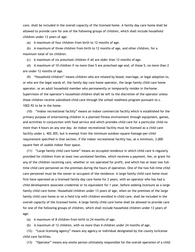care, shall be included in the overall capacity of the licensed home. A family day care home shall be allowed to provide care for one of the following groups of children, which shall include household children under 13 years of age:

(a) A maximum of four children from birth to 12 months of age.

(b) A maximum of three children from birth to 12 months of age, and other children, for a maximum total of six children.

(c) A maximum of six preschool children if all are older than 12 months of age.

(d) A maximum of 10 children if no more than 5 are preschool age and, of those 5, no more than 2 are under 12 months of age.

(9) "Household children" means children who are related by blood, marriage, or legal adoption to, or who are the legal wards of, the family day care home operator, the large family child care home operator, or an adult household member who permanently or temporarily resides in thehome. Supervision of the operator's household children shall be left to the discretion of the operator unless those children receive subsidized child care through the school readiness program pursuant to s. 1002.92 to be in the home.

(10) "Indoor recreational facility" means an indoor commercial facility which is established for the primary purpose of entertaining children in a planned fitness environment through equipment, games, and activities in conjunction with food service and which provides child care for a particular child no more than 4 hours on any one day. An indoor recreational facility must be licensed as a child care facility under s. 402.305, but is exempt from the minimum outdoor-square-footage-per-child requirement specified in that section, if the indoor recreational facility has, at a minimum, 3,000 square feet of usable indoor floor space.

(11) "Large family child care home" means an occupied residence in which child care is regularly provided for children from at least two unrelated families, which receives a payment, fee, or grant for any of the children receiving care, whether or not operated for profit, and which has at least two fulltime child care personnel on the premises during the hours of operation. One of the two full-time child care personnel must be the owner or occupant of the residence. A large family child care home must first have operated as a licensed family day care home for 2 years, with an operator who has had a child development associate credential or its equivalent for 1 year, before seeking licensure as a large family child care home. Household children under 13 years of age, when on the premises of the large family child care home or on a field trip with children enrolled in child care, shall be included in the overall capacity of the licensed home. A large family child care home shall be allowed to provide care for one of the following groups of children, which shall include household children under 13 years of age:

(a) A maximum of 8 children from birth to 24 months of age.

(b) A maximum of 12 children, with no more than 4 children under 24 months of age.

(12) "Local licensing agency" means any agency or individual designated by the county tolicense child care facilities.

(13) "Operator" means any onsite person ultimately responsible for the overall operation of a child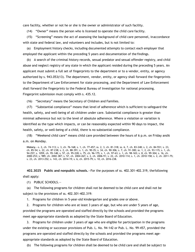care facility, whether or not he or she is the owner or administrator of such facility.

(14) "Owner" means the person who is licensed to operate the child care facility.

(15) "Screening" means the act of assessing the background of child care personnel, inaccordance with state and federal law, and volunteers and includes, but is not limited to:

(a) Employment history checks, including documented attempts to contact each employer that employed the applicant within the preceding 5 years and documentation of the findings.

(b) A search of the criminal history records, sexual predator and sexual offender registry, and child abuse and neglect registry of any state in which the applicant resided during the preceding 5 years. An applicant must submit a full set of fingerprints to the department or to a vendor, entity, or agency authorized by s. 943.053(13). The department, vendor, entity, or agency shall forward the fingerprints to the Department of Law Enforcement for state processing, and the Department of Law Enforcement shall forward the fingerprints to the Federal Bureau of Investigation for national processing. Fingerprint submission must comply with s. 435.12.

(16) "Secretary" means the Secretary of Children and Families.

(17) "Substantial compliance" means that level of adherence which is sufficient to safeguard the health, safety, and well-being of all children under care. Substantial compliance is greater than minimal adherence but not to the level of absolute adherence. Where a violation or variation is identified as the type which impacts, or can be reasonably expected within 90 days to impact, the health, safety, or well-being of a child, there is no substantial compliance.

(18) "Weekend child care" means child care provided between the hours of 6 p.m. on Friday and6 a.m. on Monday.

**History.**—s. 2, ch. 74-113; s. 3, ch. 76-168; s. 1, ch. 77-457; ss. 2, 3, ch. 81-318; ss. 6, 7, ch. 83-248; s. 2, ch. 84-551; s. 23, ch. 85-54; s. 22, ch. 87-238; s. 2, ch. 88-391; s. 1, ch. 90-35; s. 34, ch. 90-306; s. 7, ch. 91-300; ss. 1, 2, ch. 93-115; s. 1, ch. 94-257; s. 1059, ch. 95-148; s. 57, ch. 95-228; s. 75, ch. 96-175; s. 1, ch. 97-63; s. 1, ch. 98-165; s. 8, ch. 99-304; s. 16, ch. 2000-253; s. 989, ch. 2002-387; s. 57, ch. 2004-267; s. 2, ch. 2006-91; s. 22, ch. 2010-114; s. 1, ch. 2010-158; s. 2, ch. 2011-75; s. 23, ch. 2013-252; s. 143, ch. 2014-19; s. 6, ch. 2015-79; s. 10, ch. 2016-238.

**402.3025 Public and nonpublic schools.**—For the purposes of ss. 402.301-402.319, thefollowing shall apply:

(1) PUBLIC SCHOOLS.—

(a) The following programs for children shall not be deemed to be child care and shall not be subject to the provisions of ss. 402.301-402.319:

1. Programs for children in 5-year-old kindergarten and grades one or above.

2. Programs for children who are at least 3 years of age, but who are under 5 years of age,

provided the programs are operated and staffed directly by the schools and provided the programs meet age-appropriate standards as adopted by the State Board of Education.

3. Programs for children under 3 years of age who are eligible for participation in the programs under the existing or successor provisions of Pub. L. No. 94-142 or Pub. L. No. 99-457, provided the programs are operated and staffed directly by the schools and provided the programs meet ageappropriate standards as adopted by the State Board of Education.

(b) The following programs for children shall be deemed to be child care and shall be subject to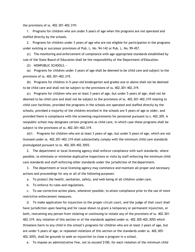the provisions of ss. 402.301-402.319:

1. Programs for children who are under 5 years of age when the programs are not operated and staffed directly by the schools.

2. Programs for children under 3 years of age who are not eligible for participation in the programs under existing or successor provisions of Pub. L. No. 94-142 or Pub. L. No. 99-457.

(c) The monitoring and enforcement of compliance with age-appropriate standards established by rule of the State Board of Education shall be the responsibility of the Department ofEducation.

(2) NONPUBLIC SCHOOLS.—

(a) Programs for children under 3 years of age shall be deemed to be child care and subject to the provisions of ss. 402.301-402.319.

(b) Programs for children in 5-year-old kindergarten and grades one or above shall not be deemed to be child care and shall not be subject to the provisions of ss. 402.301-402.319.

(c) Programs for children who are at least 3 years of age, but under 5 years of age, shall not be deemed to be child care and shall not be subject to the provisions of ss. 402.301-402.319 relating to child care facilities, provided the programs in the schools are operated and staffed directly by the schools, provided a majority of the children enrolled in the schools are 5 years of age or older, and provided there is compliance with the screening requirements for personnel pursuant to s. 402.305. A nonpublic school may designate certain programs as child care, in which case these programs shall be subject to the provisions of ss. 402.301-402.319.

(d)1. Programs for children who are at least 3 years of age, but under 5 years of age, which are not licensed under ss. 402.301-402.319 shall substantially comply with the minimum child care standards promulgated pursuant to ss. 402.305-402.3055.

2. The department or local licensing agency shall enforce compliance with such standards, where possible, to eliminate or minimize duplicative inspections or visits by staff enforcing the minimum child care standards and staff enforcing other standards under the jurisdiction of the department.

3. The department or local licensing agency may commence and maintain all proper and necessary actions and proceedings for any or all of the following purposes:

a. To protect the health, sanitation, safety, and well-being of all children under care.

b. To enforce its rules and regulations.

c. To use corrective action plans, whenever possible, to attain compliance prior to the use of more restrictive enforcement measures.

d. To make application for injunction to the proper circuit court, and the judge of that court shall have jurisdiction upon hearing and for cause shown to grant a temporary or permanent injunction, or both, restraining any person from violating or continuing to violate any of the provisions of ss. 402.301- 402.319. Any violation of this section or of the standards applied under ss. 402.305-402.3055 which threatens harm to any child in the school's programs for children who are at least 3 years of age, but are under 5 years of age, or repeated violations of this section or the standards under ss. 402.305- 402.3055, shall be grounds to seek an injunction to close a program in a school.

e. To impose an administrative fine, not to exceed \$100, for each violation of the minimum child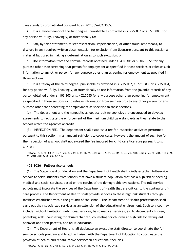care standards promulgated pursuant to ss. 402.305-402.3055.

4. It is a misdemeanor of the first degree, punishable as provided in s. 775.082 or s. 775.083, for any person willfully, knowingly, or intentionally to:

a. Fail, by false statement, misrepresentation, impersonation, or other fraudulent means, to disclose in any required written documentation for exclusion from licensure pursuant to this section a material fact used in making a determination as to such exclusion; or

b. Use information from the criminal records obtained under s. 402.305 or s. 402.3055 for any purpose other than screening that person for employment as specified in those sections or release such information to any other person for any purpose other than screening for employment as specified in those sections.

5. It is a felony of the third degree, punishable as provided in s. 775.082, s. 775.083, or s. 775.084, for any person willfully, knowingly, or intentionally to use information from the juvenile records of any person obtained under s. 402.305 or s. 402.3055 for any purpose other than screening for employment as specified in those sections or to release information from such records to any other person for any purpose other than screening for employment as specified in those sections.

(e) The department and the nonpublic school accrediting agencies are encouraged to develop agreements to facilitate the enforcement of the minimum child care standards as they relate to the schools which the agencies accredit.

(3) INSPECTION FEE.—The department shall establish a fee for inspection activities performed pursuant to this section, in an amount sufficient to cover costs. However, the amount of such fee for the inspection of a school shall not exceed the fee imposed for child care licensure pursuant to s. 402.315.

**History.**—s. 3, ch. 88-391; s. 1, ch. 89-296; s. 35, ch. 90-347; ss. 1, 2, ch. 93-115; s. 94, ch. 2000-349; s. 50, ch. 2013-18; s. 21, ch. 2016-238; s. 25, ch. 2017-3.

#### **402.3026 Full-service schools.**—

(1) The State Board of Education and the Department of Health shall jointly establish full-service schools to serve students from schools that have a student population that has a high risk of needing medical and social services, based on the results of the demographic evaluations. The full-service schools must integrate the services of the Department of Health that are critical to the continuity-ofcare process. The Department of Health shall provide services to these high-risk students through facilities established within the grounds of the school. The Department of Health professionals shall carry out their specialized services as an extension of the educational environment. Such services may include, without limitation, nutritional services, basic medical services, aid to dependent children, parenting skills, counseling for abused children, counseling for children at high risk for delinquent behavior and their parents, and adult education.

(2) The Department of Health shall designate an executive staff director to coordinate the fullservice schools program and to act as liaison with the Department of Education to coordinate the provision of health and rehabilitative services in educational facilities.

**History.**—s. 20, ch. 90-273; s. 122, ch. 94-209; s. 34, ch. 99-5; s. 146, ch. 99-8.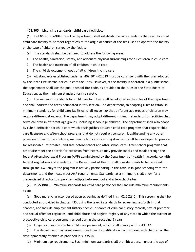# **402.305 Licensing standards; child care facilities.**—

(1) LICENSING STANDARDS.—The department shall establish licensing standards that each licensed child care facility must meet regardless of the origin or source of the fees used to operate the facility or the type of children served by the facility.

(a) The standards shall be designed to address the following areas:

- 1. The health, sanitation, safety, and adequate physical surroundings for all children in child care.
- 2. The health and nutrition of all children in child care.
- 3. The child development needs of all children in child care.

(b) All standards established under ss. 402.301-402.319 must be consistent with the rules adopted by the State Fire Marshal for child care facilities. However, if the facility is operated in a public school, the department shall use the public school fire code, as provided in the rules of the State Board of Education, as the minimum standard for fire safety.

(c) The minimum standards for child care facilities shall be adopted in the rules of the department and shall address the areas delineated in this section. The department, in adopting rules to establish minimum standards for child care facilities, shall recognize that different age groups of children may require different standards. The department may adopt different minimum standards for facilities that serve children in different age groups, including school-age children. The department shall also adopt by rule a definition for child care which distinguishes between child care programs that require child care licensure and after-school programs that do not require licensure. Notwithstanding any other provision of law to the contrary, minimum child care licensing standards shall be developed to provide for reasonable, affordable, and safe before-school and after-school care. After-school programs that otherwise meet the criteria for exclusion from licensure may provide snacks and meals through the federal Afterschool Meal Program (AMP) administered by the Department of Health in accordance with federal regulations and standards. The Department of Health shall consider meals to be provided through the AMP only if the program is actively participating in the AMP, is in good standing with the department, and the meals meet AMP requirements. Standards, at a minimum, shall allow for a credentialed director to supervise multiple before-school and after-school sites.

(2) PERSONNEL.—Minimum standards for child care personnel shall include minimum requirements as to:

(a) Good moral character based upon screening as defined in s. 402.302(15). This screening shall be conducted as provided in chapter 435, using the level 2 standards for screening set forth in that chapter, and include employment history checks, a search of criminal history records, sexual predator and sexual offender registries, and child abuse and neglect registry of any state in which the current or prospective child care personnel resided during the preceding 5 years.

(b) Fingerprint submission for child care personnel, which shall comply with s. 435.12.

(c) The department may grant exemptions from disqualification from working with children or the developmentally disabled as provided in s. 435.07.

(d) Minimum age requirements. Such minimum standards shall prohibit a person under the age of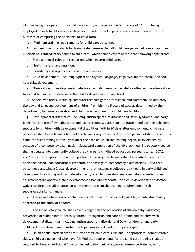21 from being the operator of a child care facility and a person under the age of 16 from being employed at such facility unless such person is under direct supervision and is not counted for the purposes of computing the personnel-to-child ratio.

(e) Minimum training requirements for child care personnel.

1. Such minimum standards for training shall ensure that all child care personnel take an approved 40-clock-hour introductory course in child care, which course covers at least the following topic areas:

a. State and local rules and regulations which govern child care.

b. Health, safety, and nutrition.

c. Identifying and reporting child abuse and neglect.

d. Child development, including typical and atypical language, cognitive, motor, social, and selfhelp skills development.

e. Observation of developmental behaviors, including using a checklist or other similar observation tools and techniques to determine the child's developmental age level.

f. Specialized areas, including computer technology for professional and classroom use and early literacy and language development of children from birth to 5 years of age, as determined by the department, for owner-operators and child care personnel of a child care facility.

g. Developmental disabilities, including autism spectrum disorder and Down syndrome, and early identification, use of available state and local resources, classroom integration, and positive behavioral supports for children with developmental disabilities. Within 90 days after employment, child care personnel shall begin training to meet the training requirements. Child care personnel shall successfully complete such training within 1 year after the date on which the training began, as evidenced by passage of a competency examination. Successful completion of the 40-clock-hour introductory course shall articulate into community college credit in early childhood education, pursuant to ss. 1007.24 and 1007.25. Exemption from all or a portion of the required training shall be granted to child care personnel based upon educational credentials or passage of competency examinations. Child care personnel possessing a 2-year degree or higher that includes 6 college credit hours in early childhood development or child growth and development, or a child development associate credential or an equivalent state-approved child development associate credential, or a child development associate waiver certificate shall be automatically exempted from the training requirements in subsubparagraphs b., d., and e.

2. The introductory course in child care shall stress, to the extent possible, an interdisciplinary approach to the study of children.

3. The introductory course shall cover recognition and prevention of shaken baby syndrome; prevention of sudden infant death syndrome; recognition and care of infants and toddlers with developmental disabilities, including autism spectrum disorder and Down syndrome; and early childhood brain development within the topic areas identified in this paragraph.

4. On an annual basis in order to further their child care skills and, if appropriate, administrative skills, child care personnel who have fulfilled the requirements for the child care training shall be required to take an additional 1 continuing education unit of approved in-service training, or 10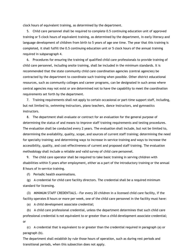clock hours of equivalent training, as determined by the department.

5. Child care personnel shall be required to complete 0.5 continuing education unit of approved training or 5 clock hours of equivalent training, as determined by the department, in early literacy and language development of children from birth to 5 years of age one time. The year that this training is completed, it shall fulfill the 0.5 continuing education unit or 5 clock hours of the annual training required in subparagraph 4.

6. Procedures for ensuring the training of qualified child care professionals to provide training of child care personnel, including onsite training, shall be included in the minimum standards. It is recommended that the state community child care coordination agencies (central agencies) be contracted by the department to coordinate such training when possible. Other district educational resources, such as community colleges and career programs, can be designated in such areas where central agencies may not exist or are determined not to have the capability to meet the coordination requirements set forth by the department.

7. Training requirements shall not apply to certain occasional or part-time support staff, including, but not limited to, swimming instructors, piano teachers, dance instructors, and gymnastics instructors.

8. The department shall evaluate or contract for an evaluation for the general purpose of determining the status of and means to improve staff training requirements and testing procedures. The evaluation shall be conducted every 2 years. The evaluation shall include, but not be limited to, determining the availability, quality, scope, and sources of current staff training; determining the need for specialty training; and determining ways to increase in-service training and ways to increase the accessibility, quality, and cost-effectiveness of current and proposed staff training. The evaluation methodology shall include a reliable and valid survey of child care personnel.

9. The child care operator shall be required to take basic training in serving children with disabilities within 5 years after employment, either as a part of the introductory training or the annual 8 hours of in-service training.

(f) Periodic health examinations.

(g) A credential for child care facility directors. The credential shall be a required minimum standard for licensing.

(3) MINIMUM STAFF CREDENTIALS.—For every 20 children in a licensed child care facility, if the facility operates 8 hours or more per week, one of the child care personnel in the facility must have:

(a) A child development associate credential;

(b) A child care professional credential, unless the department determines that such child care professional credential is not equivalent to or greater than a child development associate credential; or

(c) A credential that is equivalent to or greater than the credential required in paragraph (a) or paragraph (b).

The department shall establish by rule those hours of operation, such as during rest periods and transitional periods, when this subsection does not apply.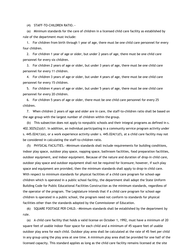(4) STAFF-TO-CHILDREN RATIO.—

(a) Minimum standards for the care of children in a licensed child care facility as established by rule of the department must include:

1. For children from birth through 1 year of age, there must be one child care personnel for every four children.

2. For children 1 year of age or older, but under 2 years of age, there must be one child care personnel for every six children.

3. For children 2 years of age or older, but under 3 years of age, there must be one child care personnel for every 11 children.

4. For children 3 years of age or older, but under 4 years of age, there must be one child care personnel for every 15 children.

5. For children 4 years of age or older, but under 5 years of age, there must be one child care personnel for every 20 children.

6. For children 5 years of age or older, there must be one child care personnel for every 25 children.

7. When children 2 years of age and older are in care, the staff-to-children ratio shall be based on the age group with the largest number of children within the group.

(b) This subsection does not apply to nonpublic schools and their integral programs as defined in s. 402.3025(2)(d)1. In addition, an individual participating in a community service program activity under s. 445.024(1)(e), or a work experience activity under s. 445.024(1)(f), at a child care facility may not be considered in calculating the staff-to-children ratio.

(5) PHYSICAL FACILITIES.—Minimum standards shall include requirements for building conditions, indoor play space, outdoor play space, napping space, bathroom facilities, food preparation facilities, outdoor equipment, and indoor equipment. Because of the nature and duration of drop-in child care, outdoor play space and outdoor equipment shall not be required for licensure; however, if such play space and equipment are provided, then the minimum standards shall apply to drop-in child care. With respect to minimum standards for physical facilities of a child care program for school-age children which is operated in a public school facility, the department shall adopt the State Uniform Building Code for Public Educational Facilities Construction as the minimum standards, regardless of the operator of the program. The Legislature intends that if a child care program for school-age children is operated in a public school, the program need not conform to standards for physical facilities other than the standards adopted by the Commissioner of Education.

(6) SQUARE FOOTAGE PER CHILD.—Minimum standards shall be established by the department by rule.

(a) A child care facility that holds a valid license on October 1, 1992, must have a minimum of 20 square feet of usable indoor floor space for each child and a minimum of 45 square feet of usable outdoor play area for each child. Outdoor play area shall be calculated at the rate of 45 feet per child in any group using the play area at one time. A minimum play area shall be provided for one half of the licensed capacity. This standard applies as long as the child care facility remains licensed at the site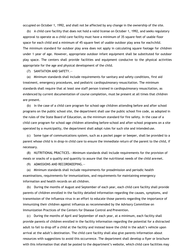occupied on October 1, 1992, and shall not be affected by any change in the ownership of the site.

(b) A child care facility that does not hold a valid license on October 1, 1992, and seeks regulatory approval to operate as a child care facility must have a minimum of 35 square feet of usable floor space for each child and a minimum of 45 square feet of usable outdoor play area for eachchild. The minimum standard for outdoor play area does not apply in calculating square footage for children under 1 year of age. However, appropriate outdoor infant equipment shall be substituted for outdoor play space. The centers shall provide facilities and equipment conducive to the physical activities appropriate for the age and physical development of the child.

(7) SANITATION AND SAFETY.—

(a) Minimum standards shall include requirements for sanitary and safety conditions, first aid treatment, emergency procedures, and pediatric cardiopulmonary resuscitation. The minimum standards shall require that at least one staff person trained in cardiopulmonary resuscitation, as evidenced by current documentation of course completion, must be present at all times that children are present.

(b) In the case of a child care program for school-age children attending before and after school programs on the public school site, the department shall use the public school fire code, as adopted in the rules of the State Board of Education, as the minimum standard for fire safety. In the case of a child care program for school-age children attending before-school and after-school programs on a site operated by a municipality, the department shall adopt rules for such site and intended use.

(c) Some type of communications system, such as a pocket pager or beeper, shall be provided to a parent whose child is in drop-in child care to ensure the immediate return of the parent to the child, if necessary.

(8) NUTRITIONAL PRACTICES.—Minimum standards shall include requirements for the provision of meals or snacks of a quality and quantity to assure that the nutritional needs of the child aremet.

(9) ADMISSIONS AND RECORDKEEPING.—

(a) Minimum standards shall include requirements for preadmission and periodic health examinations, requirements for immunizations, and requirements for maintaining emergency information and health records on all children.

(b) During the months of August and September of each year, each child care facility shall provide parents of children enrolled in the facility detailed information regarding the causes, symptoms, and transmission of the influenza virus in an effort to educate those parents regarding the importance of immunizing their children against influenza as recommended by the Advisory Committee on Immunization Practices of the Centers for Disease Control and Prevention.

(c) During the months of April and September of each year, at a minimum, each facility shall provide parents of children enrolled in the facility information regarding the potential for a distracted adult to fail to drop off a child at the facility and instead leave the child in the adult's vehicle upon arrival at the adult's destination. The child care facility shall also give parents information about resources with suggestions to avoid this occurrence. The department shall develop a flyer or brochure with this information that shall be posted to the department's website, which child care facilities may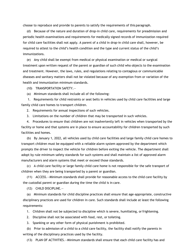choose to reproduce and provide to parents to satisfy the requirements of this paragraph.

(d) Because of the nature and duration of drop-in child care, requirements for preadmission and periodic health examinations and requirements for medically signed records of immunization required for child care facilities shall not apply. A parent of a child in drop-in child care shall, however, be required to attest to the child's health condition and the type and current status of the child's immunizations.

(e) Any child shall be exempt from medical or physical examination or medical or surgical treatment upon written request of the parent or guardian of such child who objects to the examination and treatment. However, the laws, rules, and regulations relating to contagious or communicable diseases and sanitary matters shall not be violated because of any exemption from or variation of the health and immunization minimum standards.

(10) TRANSPORTATION SAFETY.—

(a) Minimum standards shall include all of the following:

1. Requirements for child restraints or seat belts in vehicles used by child care facilities and large family child care homes to transport children.

2. Requirements for annual inspections of such vehicles.

3. Limitations on the number of children that may be transported in such vehicles.

4. Procedures to ensure that children are not inadvertently left in vehicles when transported by the facility or home and that systems are in place to ensure accountability for children transported by such facilities and homes.

(b) By January 1, 2022, all vehicles used by child care facilities and large family child care homes to transport children must be equipped with a reliable alarm system approved by the department which prompts the driver to inspect the vehicle for children before exiting the vehicle. The department shall adopt by rule minimum safety standards for such systems and shall maintain a list of approved alarm manufacturers and alarm systems that meet or exceed those standards.

(c) A child care facility or large family child care home is not responsible for the safe transport of children when they are being transported by a parent or guardian.

(11) ACCESS.—Minimum standards shall provide for reasonable access to the child care facility by the custodial parent or guardian during the time the child is in care.

(12) CHILD DISCIPLINE.—

(a) Minimum standards for child discipline practices shall ensure that age-appropriate, constructive disciplinary practices are used for children in care. Such standards shall include at least the following requirements:

1. Children shall not be subjected to discipline which is severe, humiliating, orfrightening.

2. Discipline shall not be associated with food, rest, or toileting.

3. Spanking or any other form of physical punishment is prohibited.

(b) Prior to admission of a child to a child care facility, the facility shall notify the parents in writing of the disciplinary practices used by the facility.

(13) PLAN OF ACTIVITIES.—Minimum standards shall ensure that each child care facility has and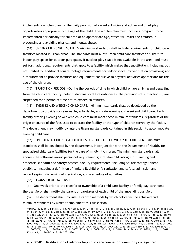implements a written plan for the daily provision of varied activities and active and quiet play opportunities appropriate to the age of the child. The written plan must include a program, to be implemented periodically for children of an appropriate age, which will assist the children in preventing and avoiding physical and mental abuse.

(14) URBAN CHILD CARE FACILITIES.—Minimum standards shall include requirements for child care facilities located in urban areas. The standards must allow urban child care facilities to substitute indoor play space for outdoor play space, if outdoor play space is not available in the area, and must set forth additional requirements that apply to a facility which makes that substitution, including, but not limited to, additional square footage requirements for indoor space; air ventilation provisions; and a requirement to provide facilities and equipment conducive to physical activities appropriate for the age of the children.

(15) TRANSITION PERIODS.—During the periods of time in which children are arriving and departing from the child care facility, notwithstanding local fire ordinances, the provisions of subsection (6) are suspended for a period of time not to exceed 30 minutes.

(16) EVENING AND WEEKEND CHILD CARE.—Minimum standards shall be developed by the department to provide for reasonable, affordable, and safe evening and weekend child care. Each facility offering evening or weekend child care must meet these minimum standards, regardless of the origin or source of the fees used to operate the facility or the type of children served by the facility. The department may modify by rule the licensing standards contained in this section to accommodate evening child care.

(17) SPECIALIZED CHILD CARE FACILITIES FOR THE CARE OF MILDLY ILL CHILDREN.—Minimum standards shall be developed by the department, in conjunction with the Department of Health, for specialized child care facilities for the care of mildly ill children. The minimum standards shall address the following areas: personnel requirements; staff-to-child ratios; staff training and credentials; health and safety; physical facility requirements, including square footage; client eligibility, including a definition of "mildly ill children"; sanitation and safety; admission and recordkeeping; dispensing of medication; and a schedule of activities.

(18) TRANSFER OF OWNERSHIP.—

(a) One week prior to the transfer of ownership of a child care facility or family day care home, the transferor shall notify the parent or caretaker of each child of the impending transfer.

(b) The department shall, by rule, establish methods by which notice will be achieved and minimum standards by which to implement this subsection.

**History.**—s. 5, ch. 74-113; s. 3, ch. 76-168; s. 1, ch. 77-457; ss. 2, 3, ch. 81-318; ss. 1, 6, 7, ch. 83-248; s. 3, ch. 84- 551; s. 24, ch. 85-54; s. 41, ch. 87-225; s. 23, ch. 87-238; s. 25, ch. 89-379; s. 2, ch. 90-35; s. 2, ch. 90-225; s. 35, ch. 90-306; s. 10, ch. 91-33; s. 28, ch. 91-57; s. 92, ch. 91-221; s. 2, ch. 91-300; s. 56, ch. 92-58; ss. 1, 2, ch. 93-115; s. 14, ch. 93-156; s. 22, ch. 94- 134; s. 22, ch. 94-135; s. 1060, ch. 95-148; s. 18, ch. 95-152; s. 15, ch. 95-158; s. 22, ch. 95-195; s. 41, ch. 95-228; s. 131, ch. 95-418; ss. 76, 77, ch. 96-175; s. 12, ch. 96-268; s. 2, ch. 97-63; s. 2, ch. 98-165; s. 1, ch. 99-241; s. 10, ch. 99-304; s. 164, ch. 2000-165; s. 19, ch. 2000-253; s. 18, ch. 2000-337; ss. 21, 26, ch. 2001-170; s. 2, ch. 2002-300; s. 40, ch. 2003-1; s. 1, ch. 2003- 131; s. 3, ch. 2003-146; s. 10, ch. 2004-41; s. 1, ch. 2004-49; s. 58, ch. 2004-267; s. 15, ch. 2004-269; s. 32, ch. 2004-357; s. 7, ch. 2005-71; s. 12, ch. 2007-6; s. 3, ch. 2007-197; s. 1, ch. 2009-147; s. 3, ch. 2010-224; s. 24, ch. 2013-252; s. 16, ch. 2018- 103; s. 68, ch. 2019-3; s. 2, ch. 2021-120.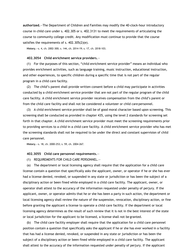**authorized.**—The Department of Children and Families may modify the 40-clock-hour introductory course in child care under s. 402.305 or s. 402.3131 to meet the requirements of articulating the course to community college credit. Any modification must continue to provide that the course satisfies the requirements of s. 402.305(2)(e).

**History.**—s. 4, ch. 2002-300; s. 144, ch. 2014-19; s. 17, ch. 2018-103.

### **402.3054 Child enrichment service providers.**—

(1) For the purposes of this section, "child enrichment service provider" means an individual who provides enrichment activities, such as language training, music instruction, educational instruction, and other experiences, to specific children during a specific time that is not part of the regular program in a child care facility.

(2) The child's parent shall provide written consent before a child may participate in activities conducted by a child enrichment service provider that are not part of the regular program of the child care facility. A child enrichment service provider receives compensation from the child's parent or from the child care facility and shall not be considered a volunteer or child care personnel.

(3) A child enrichment service provider shall be of good moral character based upon screening. This screening shall be conducted as provided in chapter 435, using the level 2 standards for screening set forth in that chapter. A child enrichment service provider must meet the screening requirements prior to providing services to a child in a child care facility. A child enrichment service provider who has met the screening standards shall not be required to be under the direct and constant supervision of child care personnel.

**History.**—s. 18, ch. 2000-253; s. 59, ch. 2004-267.

#### **402.3055 Child care personnel requirements.**—

(1) REQUIREMENTS FOR CHILD CARE PERSONNEL.—

(a) The department or local licensing agency shall require that the application for a child care license contain a question that specifically asks the applicant, owner, or operator if he or she has ever had a license denied, revoked, or suspended in any state or jurisdiction or has been the subject of a disciplinary action or been fined while employed in a child care facility. The applicant, owner, or operator shall attest to the accuracy of the information requested under penalty of perjury. If the applicant, owner, or operator admits that he or she has been a party in such action, the department or local licensing agency shall review the nature of the suspension, revocation, disciplinary action, or fine before granting the applicant a license to operate a child care facility. If the department or local licensing agency determines as the result of such review that it is not in the best interest of the state or local jurisdiction for the applicant to be licensed, a license shall not be granted.

(b) The child care facility employer shall require that the application for a child care personnel position contain a question that specifically asks the applicant if he or she has ever worked in a facility that has had a license denied, revoked, or suspended in any state or jurisdiction or has been the subject of a disciplinary action or been fined while employed in a child care facility. The applicant shall attest to the accuracy of the information requested under penalty of perjury. If the applicant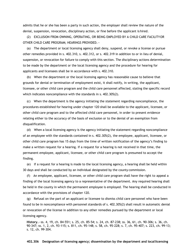admits that he or she has been a party in such action, the employer shall review the nature of the denial, suspension, revocation, disciplinary action, or fine before the applicant is hired.

(2) EXCLUSION FROM OWNING, OPERATING, OR BEING EMPLOYED BY A CHILD CARE FACILITYOR OTHER CHILD CARE PROGRAM; HEARINGS PROVIDED.—

(a) The department or local licensing agency shall deny, suspend, or revoke a license or pursue other remedies provided in s. 402.310, s. 402.312, or s. 402.319 in addition to or in lieu of denial, suspension, or revocation for failure to comply with this section. The disciplinary actions determination to be made by the department or the local licensing agency and the procedure for hearing for applicants and licensees shall be in accordance with s. 402.310.

(b) When the department or the local licensing agency has reasonable cause to believe that grounds for denial or termination of employment exist, it shall notify, in writing, the applicant, licensee, or other child care program and the child care personnel affected, stating the specific record which indicates noncompliance with the standards in s. 402.305(2).

(c) When the department is the agency initiating the statement regarding noncompliance, the procedures established for hearing under chapter 120 shall be available to the applicant, licensee, or other child care program and to the affected child care personnel, in order to present evidence relating either to the accuracy of the basis of exclusion or to the denial of an exemption from disqualification.

(d) When a local licensing agency is the agency initiating the statement regarding noncompliance of an employee with the standards contained in s. 402.305(2), the employee, applicant, licensee, or other child care program has 15 days from the time of written notification of the agency's finding to make a written request for a hearing. If a request for a hearing is not received in that time, the permanent employee, applicant, licensee, or other child care program is presumed to accept the finding.

(e) If a request for a hearing is made to the local licensing agency, a hearing shall be held within 30 days and shall be conducted by an individual designated by the county commission.

(f) An employee, applicant, licensee, or other child care program shall have the right to appeal a finding of the local licensing agency to a representative of the department. Any required hearing shall be held in the county in which the permanent employee is employed. The hearing shall be conducted in accordance with the provisions of chapter 120.

(g) Refusal on the part of an applicant or licensee to dismiss child care personnel who have been found to be in noncompliance with personnel standards of s. 402.305(2) shall result in automatic denial or revocation of the license in addition to any other remedies pursued by the department or local licensing agency.

**History.**—ss. 4, 19, ch. 84-551; s. 25, ch. 85-54; s. 24, ch. 87-238; ss. 36, 61, ch. 90-306; s. 36, ch. 90-347; ss. 1, 2, ch. 93-115; s. 811, ch. 95-148; s. 58, ch. 95-228; s. 7, ch. 95-407; s. 223, ch. 99-13; s. 12, ch. 99-304.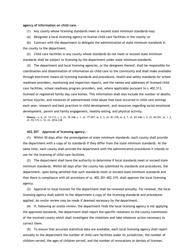#### **agency of information on child care.**—

- (1) Any county whose licensing standards meet or exceed state minimum standards may:
- (a) Designate a local licensing agency to license child care facilities in the county; or

(b) Contract with the department to delegate the administration of state minimum standards in the county to the department.

(2) Child care facilities in any county whose standards do not meet or exceed state minimum standards shall be subject to licensing by the department under state minimum standards.

(3) The department and local licensing agencies, or the designees thereof, shall be responsible for coordination and dissemination of information on child care to the community and shall make available through electronic means all licensing standards and procedures, health and safety standards for school readiness providers, monitoring and inspection reports, and the names and addresses of licensed child care facilities, school readiness program providers, and, where applicable pursuant to s.402.313, licensed or registered family day care homes. This information shall also include the number of deaths, serious injuries, and instances of substantiated child abuse that have occurred in child care settings each year; research and best practices in child development; and resources regarding social-emotional development, parent and family engagement, healthy eating, and physical activity.

**History.**—s. 6, ch. 74-113; s. 3, ch. 76-168; s. 1, ch. 77-457; ss. 2, 3, ch. 81-318; ss. 6, 7, ch. 83-248; s. 5, ch. 84-551; ss. 1, 2, ch. 93-115; s. 12, ch. 2016-238.

#### **402.307 Approval of licensing agency.**—

(1) Within 30 days after the promulgation of state minimum standards, each county shall provide the department with a copy of its standards if they differ from the state minimum standards. At the same time, each county shall provide the department with the administrative procedures it intends to use for the licensing of child care facilities.

(2) The department shall have the authority to determine if local standards meet or exceed state minimum standards. Within 60 days after the county has submitted its standards and procedures, the department, upon being satisfied that such standards meet or exceed state minimum standards and that there is compliance with all provisions of ss. 402.301-402.319, shall approve the local licensing agency.

(3) Approval to issue licenses for the department shall be renewed annually. For renewal, the local licensing agency shall submit to the department a copy of the licensing standards and procedures applied. An onsite review may be made if deemed necessary by the department.

(4) If, following an onsite review, the department finds the local licensing agency is not applying the approved standards, the department shall report the specific violations to the county commission of the involved county which shall investigate the violations and take whatever action necessary to correct them.

(5) To ensure that accurate statistical data are available, each local licensing agency shall report annually to the department the number of child care facilities under its jurisdiction, the number of children served, the ages of children served, and the number of revocations or denials of licenses.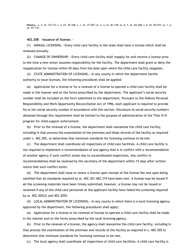**History.**—s. 7, ch. 74-113; s. 3, ch. 76-168; s. 1, ch. 77-457; ss. 2, 3, ch. 81-318; ss. 6, 7, ch. 83-248; s. 6, ch. 84-551; ss. 1, 2, ch. 93-115.

#### **402.308 Issuance of license.**—

(1) ANNUAL LICENSING.—Every child care facility in the state shall have a license which shall be renewed annually.

(2) CHANGE OF OWNERSHIP.—Every child care facility shall reapply for and receive a license prior to the time a new owner assumes responsibility for the facility. The department shall grant or deny the reapplication for license within 45 days from the date upon which the child care facility reapplies.

(3) STATE ADMINISTRATION OF LICENSING.—In any county in which the department has the authority to issue licenses, the following procedures shall be applied:

(a) Application for a license or for a renewal of a license to operate a child care facility shall be made in the manner and on the forms prescribed by the department. The applicant's social security number shall be included on the form submitted to the department. Pursuant to the federal Personal Responsibility and Work Opportunity Reconciliation Act of 1996, each applicant is required to provide his or her social security number in accordance with this section. Disclosure of social security numbers obtained through this requirement shall be limited to the purpose of administration of the Title IV-D program for child support enforcement.

(b) Prior to the renewal of a license, the department shall reexamine the child care facility, including in that process the examination of the premises and those records of the facility as required under s. 402.305, to determine that minimum standards for licensing continue to be met.

(c) The department shall coordinate all inspections of child care facilities. A child care facility is not required to implement a recommendation of one agency that is in conflict with a recommendation of another agency if such conflict arises due to uncoordinated inspections. Any conflict in recommendations shall be resolved by the secretary of the department within 15 days after written notice that such conflict exists.

(d) The department shall issue or renew a license upon receipt of the license fee and upon being satisfied that all standards required by ss. 402.301-402.319 have been met. A license may be issued if all the screening materials have been timely submitted; however, a license may not be issued or renewed if any of the child care personnel at the applicant facility have failed the screening required by ss. 402.305(2) and 402.3055.

(4) LOCAL ADMINISTRATION OF LICENSING.—In any county in which there is a local licensing agency approved by the department, the following procedures shall apply:

(a) Application for a license or for renewal of license to operate a child care facility shall be made in the manner and on the forms prescribed by the local licensing agency.

(b) Prior to the renewal of a license, the agency shall reexamine the child care facility, including in that process the examination of the premises and records of the facility as required in s. 402.305 to determine that minimum standards for licensing continue to be met.

(c) The local agency shall coordinate all inspections of child care facilities. A child care facility is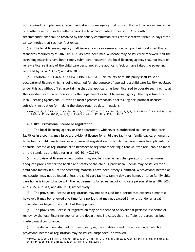not required to implement a recommendation of one agency that is in conflict with a recommendation of another agency if such conflict arises due to uncoordinated inspections. Any conflict in recommendations shall be resolved by the county commission or its representative within 15 days after written notice that such conflict exists.

(d) The local licensing agency shall issue a license or renew a license upon being satisfied that all standards required by ss. 402.301-402.319 have been met. A license may be issued or renewed if all the screening materials have been timely submitted; however, the local licensing agency shall not issue or renew a license if any of the child care personnel at the applicant facility have failed the screening required by ss. 402.305(2) and 402.3055.

(5) ISSUANCE OF LOCAL OCCUPATIONAL LICENSES.—No county or municipality shall issue an occupational license which is being obtained for the purpose of operating a child care facility regulated under this act without first ascertaining that the applicant has been licensed to operate such facility at the specified location or locations by the department or local licensing agency. The department or local licensing agency shall furnish to local agencies responsible for issuing occupational licenses sufficient instruction for making the above required determinations.

**History.**—s. 8, ch. 74-113; s. 3, ch. 76-168; s. 1, ch. 77-457; ss. 2, 3, ch. 81-318; ss. 2, 6, 7, ch. 83-248; s. 7, ch. 84-551; s. 26, ch. 85-54; s. 25, ch. 87-238; ss. 1, 2, ch. 93-115; s. 44, ch. 97-170; s. 225, ch. 99-13.

# **402.309 Provisional license or registration.**—

(1) The local licensing agency or the department, whichever is authorized to license child care facilities in a county, may issue a provisional license for child care facilities, family day care homes, or large family child care homes, or a provisional registration for family day care homes to applicants for an initial license or registration or to licensees or registrants seeking a renewal who are unable to meet all the standards provided for in ss. 402.301-402.319.

(2) A provisional license or registration may not be issued unless the operator or owner makes adequate provisions for the health and safety of the child. A provisional license may be issued for a child care facility if all of the screening materials have been timely submitted. A provisional license or registration may not be issued unless the child care facility, family day care home, or large family child care home is in compliance with the requirements for screening of child care personnel in ss. 402.305, 402.3055, 402.313, and 402.3131, respectively.

(3) The provisional license or registration may not be issued for a period that exceeds 6 months; however, it may be renewed one time for a period that may not exceed 6 months under unusual circumstances beyond the control of the applicant.

(4) The provisional license or registration may be suspended or revoked if periodic inspection or review by the local licensing agency or the department indicates that insufficient progress has been made toward compliance.

(5) The department shall adopt rules specifying the conditions and procedures under which a provisional license or registration may be issued, suspended, or revoked.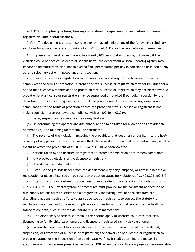**402.310 Disciplinary actions; hearings upon denial, suspension, or revocation of license or registration; administrative fines.**—

(1)(a) The department or local licensing agency may administer any of the following disciplinary sanctions for a violation of any provision of ss. 402.301-402.319, or the rules adopted thereunder:

1. Impose an administrative fine not to exceed \$100 per violation, per day. However, if the violation could or does cause death or serious harm, the department or local licensing agency may impose an administrative fine, not to exceed \$500 per violation per day in addition to or in lieu of any other disciplinary action imposed under this section.

2. Convert a license or registration to probation status and require the licensee or registrant to comply with the terms of probation. A probation-status license or registration may not be issued for a period that exceeds 6 months and the probation-status license or registration may not be renewed. A probation-status license or registration may be suspended or revoked if periodic inspection by the department or local licensing agency finds that the probation-status licensee or registrant is not in compliance with the terms of probation or that the probation-status licensee or registrant is not making sufficient progress toward compliance with ss. 402.301-402.319.

3. Deny, suspend, or revoke a license or registration.

(b) In determining the appropriate disciplinary action to be taken for a violation as provided in paragraph (a), the following factors shall be considered:

1. The severity of the violation, including the probability that death or serious harm to the health or safety of any person will result or has resulted, the severity of the actual or potential harm, and the extent to which the provisions of ss. 402.301-402.319 have been violated.

2. Actions taken by the licensee or registrant to correct the violation or to remedy complaints.

- 3. Any previous violations of the licensee or registrant.
- (c) The department shall adopt rules to:

1. Establish the grounds under which the department may deny, suspend, or revoke a license or registration or place a licensee or registrant on probation status for violations of ss. 402.301-402.319.

2. Establish a uniform system of procedures to impose disciplinary sanctions for violations of ss. 402.301-402.319. The uniform system of procedures must provide for the consistent application of disciplinary actions across districts and a progressively increasing level of penalties from predisciplinary actions, such as efforts to assist licensees or registrants to correct the statutory or regulatory violations, and to severe disciplinary sanctions for actions that jeopardize the health and safety of children, such as for the deliberate misuse of medications.

(d) The disciplinary sanctions set forth in this section apply to licensed child care facilities, licensed large family child care homes, and licensed or registered family day care homes.

(2) When the department has reasonable cause to believe that grounds exist for the denial, suspension, or revocation of a license or registration; the conversion of a license or registration to probation status; or the imposition of an administrative fine, it shall determine the matter in accordance with procedures prescribed in chapter 120. When the local licensing agency has reasonable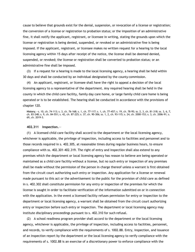cause to believe that grounds exist for the denial, suspension, or revocation of a license or registration; the conversion of a license or registration to probation status; or the imposition of an administrative fine, it shall notify the applicant, registrant, or licensee in writing, stating the grounds upon which the license or registration is being denied, suspended, or revoked or an administrative fine is being imposed. If the applicant, registrant, or licensee makes no written request for a hearing to the local licensing agency within 15 days after receipt of the notice, the license shall be deemed denied, suspended, or revoked; the license or registration shall be converted to probation status; or an administrative fine shall be imposed.

(3) If a request for a hearing is made to the local licensing agency, a hearing shall be held within 30 days and shall be conducted by an individual designated by the county commission.

(4) An applicant, registrant, or licensee shall have the right to appeal a decision of the local licensing agency to a representative of the department. Any required hearing shall be held in the county in which the child care facility, family day care home, or large family child care home is being operated or is to be established. The hearing shall be conducted in accordance with the provisions of chapter 120.

**History.**—s. 10, ch. 74-113; s. 3, ch. 76-168; s. 1, ch. 77-117; s. 1, ch. 77-457; s. 19, ch. 78-95; ss. 2, 3, ch. 81-318; ss. 3, 6, 7, ch. 83-248; s. 9, ch. 84-551; s. 42, ch. 87-225; s. 37, ch. 90-306; ss. 1, 2, ch. 93-115; s. 24, ch. 2000-153; s. 3, ch. 2006-91; s. 69, ch. 2019-3.

#### **402.311 Inspection.**—

(1) A licensed child care facility shall accord to the department or the local licensing agency, whichever is applicable, the privilege of inspection, including access to facilities and personnel and to those records required in s. 402.305, at reasonable times during regular business hours, to ensure compliance with ss. 402.301-402.319. The right of entry and inspection shall also extend to any premises which the department or local licensing agency has reason to believe are being operated or maintained as a child care facility without a license, but no such entry or inspection of any premises shall be made without the permission of the person in charge thereof unless a warrant is first obtained from the circuit court authorizing such entry or inspection. Any application for a license or renewal made pursuant to this act or the advertisement to the public for the provision of child care as defined in s. 402.302 shall constitute permission for any entry or inspection of the premises for which the license is sought in order to facilitate verification of the information submitted on or in connection with the application. In the event a licensed facility refuses permission for entry or inspection to the department or local licensing agency, a warrant shall be obtained from the circuit court authorizing entry or inspection before such entry or inspection. The department or local licensing agency may institute disciplinary proceedings pursuant to s. 402.310 for such refusal.

(2) A school readiness program provider shall accord to the department or the local licensing agency, whichever is applicable, the privilege of inspection, including access to facilities, personnel, and records, to verify compliance with the requirements of s. 1002.88. Entry, inspection, and issuance of an inspection report by the department or the local licensing agency to verify compliance with the requirements of s. 1002.88 is an exercise of a discretionary power to enforce compliance with the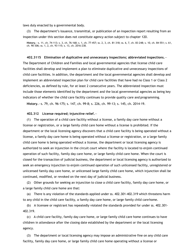laws duly enacted by a governmental body.

(3) The department's issuance, transmittal, or publication of an inspection report resulting from an inspection under this section does not constitute agency action subject to chapter 120.

**History.**—s. 11, ch. 74-113; s. 3, ch. 76-168; s. 1, ch. 77-457; ss. 2, 3, ch. 81-318; ss. 6, 7, ch. 83-248; s. 10, ch. 84-551; s. 61, ch. 90-306; ss. 1, 2, ch. 93-115; s. 13, ch. 2016-238.

### **402.3115 Elimination of duplicative and unnecessary inspections; abbreviated inspections.**—

The Department of Children and Families and local governmental agencies that license child care facilities shall develop and implement a plan to eliminate duplicative and unnecessary inspections of child care facilities. In addition, the department and the local governmental agencies shall develop and implement an abbreviated inspection plan for child care facilities that have had no Class 1 or Class 2 deficiencies, as defined by rule, for at least 2 consecutive years. The abbreviated inspection must include those elements identified by the department and the local governmental agencies as being key indicators of whether the child care facility continues to provide quality care and programming.

**History.**—s. 79, ch. 96-175; s. 147, ch. 99-8; s. 226, ch. 99-13; s. 145, ch. 2014-19.

# **402.312 License required; injunctive relief.**—

(1) The operation of a child care facility without a license, a family day care home without a license or registration, or a large family child care home without a license is prohibited. If the department or the local licensing agency discovers that a child care facility is being operated without a license, a family day care home is being operated without a license or registration, or a large family child care home is being operated without a license, the department or local licensing agency is authorized to seek an injunction in the circuit court where the facility is located to enjoin continued operation of such facility, family day care home, or large family child care home. When the court is closed for the transaction of judicial business, the department or local licensing agency is authorized to seek an emergency injunction to enjoin continued operation of such unlicensed facility, unregistered or unlicensed family day care home, or unlicensed large family child care home, which injunction shall be continued, modified, or revoked on the next day of judicial business.

(2) Other grounds for seeking an injunction to close a child care facility, family day care home, or a large family child care home are that:

(a) There is any violation of the standards applied under ss. 402.301-402.319 which threatens harm to any child in the child care facility, a family day care home, or large family child carehome.

(b) A licensee or registrant has repeatedly violated the standards provided for under ss. 402.301- 402.319.

(c) A child care facility, family day care home, or large family child care home continues to have children in attendance after the closing date established by the department or the local licensing agency.

(3) The department or local licensing agency may impose an administrative fine on any child care facility, family day care home, or large family child care home operating without a license or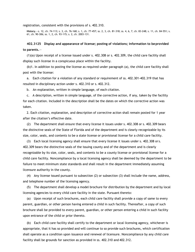registration, consistent with the provisions of s. 402.310.

**History.**—s. 12, ch. 74-113; s. 3, ch. 76-168; s. 1, ch. 77-457; ss. 2, 3, ch. 81-318; ss. 4, 6, 7, ch. 83-248; s. 11, ch. 84-551; s. 61, ch. 90-306; ss. 1, 2, ch. 93-115; s. 2, ch. 2003-131.

# **402.3125 Display and appearance of license; posting of violations; information to beprovided to parents.**—

(1)(a) Upon receipt of a license issued under s. 402.308 or s. 402.309, the child care facility shall display such license in a conspicuous place within the facility.

(b)1. In addition to posting the license as required under paragraph (a), the child care facility shall post with the license:

a. Each citation for a violation of any standard or requirement of ss. 402.301-402.319 that has resulted in disciplinary action under s. 402.310 or s. 402.312.

b. An explanation, written in simple language, of each citation.

c. A description, written in simple language, of the corrective action, if any, taken by the facility for each citation. Included in the description shall be the dates on which the corrective action was taken.

2. Each citation, explanation, and description of corrective action shall remain posted for 1 year after the citation's effective date.

(2) The department shall ensure that every license it issues under s. 402.308 or s. 402.309 bears the distinctive seals of the State of Florida and of the department and is clearly recognizable by its size, color, seals, and contents to be a state license or provisional license for a child care facility.

(3) Each local licensing agency shall ensure that every license it issues under s. 402.308 or s. 402.309 bears the distinctive seals of the issuing county and of the department and is clearly recognizable by its size, color, seals, and contents to be a county license or provisional license for a child care facility. Noncompliance by a local licensing agency shall be deemed by the department to be failure to meet minimum state standards and shall result in the department immediately assuming licensure authority in the county.

(4) Any license issued pursuant to subsection (2) or subsection (3) shall include the name, address, and telephone number of the licensing agency.

(5) The department shall develop a model brochure for distribution by the department and by local licensing agencies to every child care facility in the state. Pursuant thereto:

(a) Upon receipt of such brochures, each child care facility shall provide a copy of same to every parent, guardian, or other person having entered a child in such facility. Thereafter, a copy of such brochure shall be provided to every parent, guardian, or other person entering a child in such facility upon entrance of the child or prior thereto.

(b) Each child care facility shall certify to the department or local licensing agency, whichever is appropriate, that it has so provided and will continue to so provide such brochures, which certification shall operate as a condition upon issuance and renewal of licensure. Noncompliance by any child care facility shall be grounds for sanction as provided in ss. 402.310 and 402.312.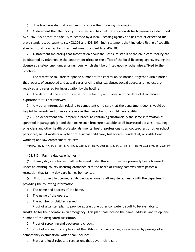(c) The brochure shall, at a minimum, contain the following information:

1. A statement that the facility is licensed and has met state standards for licensure as established by s. 402.305 or that the facility is licensed by a local licensing agency and has met or exceeded the state standards, pursuant to ss. 402.306 and 402.307. Such statement shall include a listing of specific standards that licensed facilities must meet pursuant to s. 402.305.

2. A statement indicating that information about the licensure status of the child care facility can be obtained by telephoning the department office or the office of the local licensing agency issuing the license at a telephone number or numbers which shall be printed upon or otherwise affixed to the brochure.

3. The statewide toll-free telephone number of the central abuse hotline, together with a notice that reports of suspected and actual cases of child physical abuse, sexual abuse, and neglect are received and referred for investigation by the hotline.

4. The date that the current license for the facility was issued and the date of itsscheduled expiration if it is not renewed.

5. Any other information relating to competent child care that the department deems would be helpful to parents and other caretakers in their selection of a child care facility.

(d) The department shall prepare a brochure containing substantially the same information as specified in paragraph (c) and shall make such brochure available to all interested persons, including physicians and other health professionals; mental health professionals; school teachers or other school personnel; social workers or other professional child care, foster care, residential, or institutional workers; and law enforcement officers.

**History.**—ss. 12, 19, ch. 84-551; s. 43, ch. 87-225; s. 61, ch. 90-306; ss. 1, 2, ch. 93-115; s. 1, ch. 95-329; s. 95, ch. 2000-349.

# **402.313 Family day care homes.**—

(1) Family day care homes shall be licensed under this act if they are presently being licensed under an existing county licensing ordinance or if the board of county commissioners passes a resolution that family day care homes be licensed.

(a) If not subject to license, family day care homes shall register annually with the department, providing the following information:

1. The name and address of the home.

2. The name of the operator.

3. The number of children served.

4. Proof of a written plan to provide at least one other competent adult to be available to substitute for the operator in an emergency. This plan shall include the name, address, and telephone number of the designated substitute.

5. Proof of screening and background checks.

6. Proof of successful completion of the 30-hour training course, as evidenced by passage of a competency examination, which shall include:

a. State and local rules and regulations that govern child care.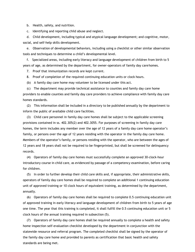b. Health, safety, and nutrition.

c. Identifying and reporting child abuse and neglect.

d. Child development, including typical and atypical language development; and cognitive, motor, social, and self-help skills development.

e. Observation of developmental behaviors, including using a checklist or other similar observation tools and techniques to determine a child's developmental level.

f. Specialized areas, including early literacy and language development of children from birth to 5 years of age, as determined by the department, for owner-operators of family day carehomes.

7. Proof that immunization records are kept current.

8. Proof of completion of the required continuing education units or clock hours.

(b) A family day care home may volunteer to be licensed under this act.

(c) The department may provide technical assistance to counties and family day care home providers to enable counties and family day care providers to achieve compliance with family day care homes standards.

(2) This information shall be included in a directory to be published annually by the department to inform the public of available child care facilities.

(3) Child care personnel in family day care homes shall be subject to the applicable screening provisions contained in ss. 402.305(2) and 402.3055. For purposes of screening in family day care homes, the term includes any member over the age of 12 years of a family day care home operator's family, or persons over the age of 12 years residing with the operator in the family day care home. Members of the operator's family, or persons residing with the operator, who are between the ages of 12 years and 18 years shall not be required to be fingerprinted, but shall be screened for delinquency records.

(4) Operators of family day care homes must successfully complete an approved 30-clock-hour introductory course in child care, as evidenced by passage of a competency examination, before caring for children.

(5) In order to further develop their child care skills and, if appropriate, their administrative skills, operators of family day care homes shall be required to complete an additional 1 continuing education unit of approved training or 10 clock hours of equivalent training, as determined by the department, annually.

(6) Operators of family day care homes shall be required to complete 0.5 continuing education unit of approved training in early literacy and language development of children from birth to 5 years of age one time. The year that this training is completed, it shall fulfill the 0.5 continuing education unit or 5 clock hours of the annual training required in subsection (5).

(7) Operators of family day care homes shall be required annually to complete a health and safety home inspection self-evaluation checklist developed by the department in conjunction with the statewide resource and referral program. The completed checklist shall be signed by the operator of the family day care home and provided to parents as certification that basic health and safety standards are being met.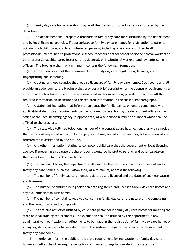(8) Family day care home operators may avail themselves of supportive services offered by the department.

(9) The department shall prepare a brochure on family day care for distribution by the department and by local licensing agencies, if appropriate, to family day care homes for distribution to parents utilizing such child care, and to all interested persons, including physicians and other health professionals; mental health professionals; school teachers or other school personnel; social workers or other professional child care, foster care, residential, or institutional workers; and law enforcement officers. The brochure shall, at a minimum, contain the following information:

(a) A brief description of the requirements for family day care registration, training, and fingerprinting and screening.

(b) A listing of those counties that require licensure of family day care homes. Such counties shall provide an addendum to the brochure that provides a brief description of the licensure requirements or may provide a brochure in lieu of the one described in this subsection, provided it contains all the required information on licensure and the required information in the subsequent paragraphs.

(c) A statement indicating that information about the family day care home's compliance with applicable state or local requirements can be obtained by telephoning the department office or the office of the local licensing agency, if appropriate, at a telephone number or numbers which shall be affixed to the brochure.

(d) The statewide toll-free telephone number of the central abuse hotline, together with a notice that reports of suspected and actual child physical abuse, sexual abuse, and neglect are received and referred for investigation by the hotline.

(e) Any other information relating to competent child care that the department or local licensing agency, if preparing a separate brochure, deems would be helpful to parents and other caretakers in their selection of a family day care home.

(10) On an annual basis, the department shall evaluate the registration and licensure system for family day care homes. Such evaluation shall, at a minimum, address the following:

(a) The number of family day care homes registered and licensed and the dates of such registration and licensure.

(b) The number of children being served in both registered and licensed family day care homes and any available slots in such homes.

(c) The number of complaints received concerning family day care, the nature of the complaints, and the resolution of such complaints.

(d) The training activities utilized by child care personnel in family day care homes for meeting the state or local training requirements. The evaluation shall be utilized by the department in any administrative modifications or adjustments to be made in the registration of family day care homes or in any legislative requests for modifications to the system of registration or to other requirements for family day care homes.

(11) In order to inform the public of the state requirement for registration of family day care homes as well as the other requirements for such homes to legally operate in the state, the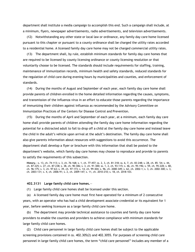department shall institute a media campaign to accomplish this end. Such a campaign shall include, at a minimum, flyers, newspaper advertisements, radio advertisements, and television advertisements.

(12) Notwithstanding any other state or local law or ordinance, any family day care home licensed pursuant to this chapter or pursuant to a county ordinance shall be charged the utility rates accorded to a residential home. A licensed family day care home may not be charged commercial utility rates.

(13) The department shall, by rule, establish minimum standards for family day care homes that are required to be licensed by county licensing ordinance or county licensing resolution or that voluntarily choose to be licensed. The standards should include requirements for staffing, training, maintenance of immunization records, minimum health and safety standards, reduced standards for the regulation of child care during evening hours by municipalities and counties, and enforcement of standards.

(14) During the months of August and September of each year, each family day care home shall provide parents of children enrolled in the home detailed information regarding the causes, symptoms, and transmission of the influenza virus in an effort to educate those parents regarding the importance of immunizing their children against influenza as recommended by the Advisory Committee on Immunization Practices of the Centers for Disease Control and Prevention.

(15) During the months of April and September of each year, at a minimum, each family day care home shall provide parents of children attending the family day care home information regarding the potential for a distracted adult to fail to drop off a child at the family day care home and instead leave the child in the adult's vehicle upon arrival at the adult's destination. The family day care home shall also give parents information about resources with suggestions to avoid this occurrence. The department shall develop a flyer or brochure with this information that shall be posted to the department's website, which family day care homes may choose to reproduce and provide to parents to satisfy the requirements of this subsection.

**History.**—s. 13, ch. 74-113; s. 3, ch. 76-168; s. 1, ch. 77-457; ss. 2, 3, ch. 81-318; ss. 6, 7, ch. 83-248; s. 28, ch. 85- 54; s. 44, ch. 87-225; s. 27, ch. 87-238; s. 38, ch. 90-306; s. 3, ch. 91-300; ss. 1, 2, ch. 93-115; s. 46, ch. 95-196; s. 59, ch. 95-228; s. 80, ch. 96-175; s. 3, ch. 97-63; s. 39, ch. 97-173; s. 14, ch. 99-304; s. 96, ch. 2000-349; s. 62, ch. 2002-1; s. 3, ch. 2002-300; s. 3, ch. 2003-131; s. 4, ch. 2006-91; s. 2, ch. 2009-147; s. 11, ch. 2010-210; s. 18, ch. 2018-103.

# **402.3131 Large family child care homes.**—

(1) Large family child care homes shall be licensed under this section.

(a) A licensed family day care home must first have operated for a minimum of 2 consecutive years, with an operator who has had a child development associate credential or its equivalent for 1 year, before seeking licensure as a large family child care home.

(b) The department may provide technical assistance to counties and family day care home providers to enable the counties and providers to achieve compliance with minimum standards for large family child care homes.

(2) Child care personnel in large family child care homes shall be subject to the applicable screening provisions contained in ss. 402.305(2) and 402.3055. For purposes of screening child care personnel in large family child care homes, the term "child care personnel" includes any member of a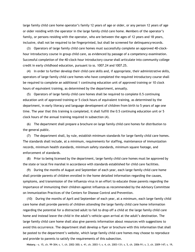large family child care home operator's family 12 years of age or older, or any person 12 years of age or older residing with the operator in the large family child care home. Members of the operator's family, or persons residing with the operator, who are between the ages of 12 years and 18 years, inclusive, shall not be required to be fingerprinted, but shall be screened for delinquencyrecords.

(3) Operators of large family child care homes must successfully complete an approved 40-clockhour introductory course in group child care, as evidenced by passage of a competency examination. Successful completion of the 40-clock-hour introductory course shall articulate into community college credit in early childhood education, pursuant to ss. 1007.24 and 1007.25.

(4) In order to further develop their child care skills and, if appropriate, their administrative skills, operators of large family child care homes who have completed the required introductory course shall be required to complete an additional 1 continuing education unit of approved training or 10 clock hours of equivalent training, as determined by the department, annually.

(5) Operators of large family child care homes shall be required to complete 0.5 continuing education unit of approved training or 5 clock hours of equivalent training, as determined by the department, in early literacy and language development of children from birth to 5 years of age one time. The year that this training is completed, it shall fulfill the 0.5 continuing education unit or 5 clock hours of the annual training required in subsection (4).

(6) The department shall prepare a brochure on large family child care homes for distribution to the general public.

(7) The department shall, by rule, establish minimum standards for large family child care homes. The standards shall include, at a minimum, requirements for staffing, maintenance of immunization records, minimum health standards, minimum safety standards, minimum square footage, and enforcement of standards.

(8) Prior to being licensed by the department, large family child care homes must be approved by the state or local fire marshal in accordance with standards established for child care facilities.

(9) During the months of August and September of each year, each large family child care home shall provide parents of children enrolled in the home detailed information regarding the causes, symptoms, and transmission of the influenza virus in an effort to educate those parents regarding the importance of immunizing their children against influenza as recommended by the Advisory Committee on Immunization Practices of the Centers for Disease Control and Prevention.

(10) During the months of April and September of each year, at a minimum, each large family child care home shall provide parents of children attending the large family child care home information regarding the potential for a distracted adult to fail to drop off a child at the large family child care home and instead leave the child in the adult's vehicle upon arrival at the adult's destination. The large family child care home shall also give parents information about resources with suggestions to avoid this occurrence. The department shall develop a flyer or brochure with this information that shall be posted to the department's website, which large family child care homes may choose to reproduce and provide to parents to satisfy the requirements of this subsection.

**History.**—s. 15, ch. 99-304; s. 1, ch. 2002-300; s. 41, ch. 2003-1; s. 4, ch. 2003-131; s. 5, ch. 2006-91; s. 3, ch. 2009-147; s. 19,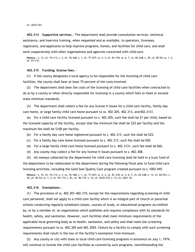ch. 2018-103.

**402.314 Supportive services.**—The department shall provide consultation services, technical assistance, and inservice training, when requested and as available, to operators, licensees, registrants, and applicants to help improve programs, homes, and facilities for child care, and shall work cooperatively with other organizations and agencies concerned with child care.

**History.**—s. 13, ch. 74-113; s. 3, ch. 76-168; s. 1, ch. 77-457; ss. 2, 3, ch. 81-318; ss. 6, 7, ch. 83-248; s. 29, ch. 85-54; ss. 1, 2, ch. 93-115.

#### **402.315 Funding; license fees.**—

(1) If the county designates a local agency to be responsible for the licensing of child care facilities, the county shall bear at least 75 percent of the costs involved.

(2) The department shall bear the costs of the licensing of child care facilities when contracted to do so by a county or when directly responsible for licensing in a county which fails to meet or exceed state minimum standards.

(3) The department shall collect a fee for any license it issues for a child care facility, family day care home, or large family child care home pursuant to ss. 402.305, 402.313, and 402.3131.

(a) For a child care facility licensed pursuant to s. 402.305, such fee shall be \$1 per child, based on the licensed capacity of the facility, except that the minimum fee shall be \$25 per facility and the maximum fee shall be \$100 per facility.

(b) For a family day care home registered pursuant to s. 402.313, such fee shall be \$25.

- (c) For a family day care home licensed pursuant to s. 402.313, such fee shall be \$50.
- (d) For a large family child care home licensed pursuant to s.  $402.3131$ , such fee shall be \$60.
- (4) Any county may collect a fee for any license it issues pursuant to s. 402.308.

(5) All moneys collected by the department for child care licensing shall be held in a trust fund of the department to be reallocated to the department during the following fiscal year to fund child care licensing activities, including the Gold Seal Quality Care program created pursuant to s.1002.945.

**History.**—s. 15, ch. 74-113; s. 3, ch. 76-168; s. 1, ch. 77-457; ss. 2, 3, ch. 81-318; ss. 5, 6, 7, ch. 83-248; s. 13, ch. 84-551; s. 30, ch. 85-54; ss. 1, 2, ch. 93-115; s. 81, ch. 96-175; s. 14, ch. 2010-210; s. 12, ch. 2021-10.

# **402.316 Exemptions.**—

(1) The provisions of ss. 402.301-402.319, except for the requirements regarding screening of child care personnel, shall not apply to a child care facility which is an integral part of church or parochial schools conducting regularly scheduled classes, courses of study, or educational programs accredited by, or by a member of, an organization which publishes and requires compliance with its standards for health, safety, and sanitation. However, such facilities shall meet minimum requirements of the applicable local governing body as to health, sanitation, and safety and shall meet the screening requirements pursuant to ss. 402.305 and 402.3055. Failure by a facility to comply with such screening requirements shall result in the loss of the facility's exemption from licensure.

(2) Any county or city with state or local child care licensing programs in existence on July 1, 1974, will continue to license the child care facilities as covered by such programs, notwithstanding the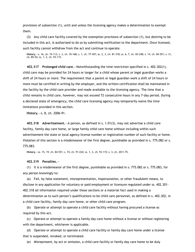provisions of subsection (1), until and unless the licensing agency makes a determination to exempt them.

(3) Any child care facility covered by the exemption provisions of subsection (1), but desiring to be included in this act, is authorized to do so by submitting notification to the department. Once licensed, such facility cannot withdraw from the act and continue to operate.

**History.**—s. 16, ch. 74-113; s. 3, ch. 76-168; s. 1, ch. 77-457; ss. 2, 3, ch. 81-318; ss. 6, 7, ch. 83-248; s. 14, ch. 84-551; s. 31, ch. 85-54; ss. 1, 2, ch. 93-115.

**402.317 Prolonged child care.**—Notwithstanding the time restriction specified in s. 402.302(1), child care may be provided for 24 hours or longer for a child whose parent or legal guardian works a shift of 24 hours or more. The requirement that a parent or legal guardian work a shift of 24 hours or more must be certified in writing by the employer, and the written certification shall be maintained in the facility by the child care provider and made available to the licensing agency. The time that a child remains in child care, however, may not exceed 72 consecutive hours in any 7-day period. During a declared state of emergency, the child care licensing agency may temporarily waive the time limitations provided in this section.

**History.**—s. 8, ch. 2006-91.

**402.318 Advertisement.**—A person, as defined in s. 1.01(3), may not advertise a child care facility, family day care home, or large family child care home without including within such advertisement the state or local agency license number or registration number of such facility or home. Violation of this section is a misdemeanor of the first degree, punishable as provided in s. 775.082 or s. 775.083.

**History.**—ss. 15, 19, ch. 84-551; s. 74, ch. 91-224; ss. 1, 2, ch. 93-115; s. 3, ch. 2011-75.

# **402.319 Penalties.**—

(1) It is a misdemeanor of the first degree, punishable as provided in s. 775.082 or s. 775.083, for any person knowingly to:

(a) Fail, by false statement, misrepresentation, impersonation, or other fraudulent means, to disclose in any application for voluntary or paid employment or licensure regulated under ss. 402.301- 402.318 all information required under those sections or a material fact used in making a determination as to such person's qualifications to be child care personnel, as defined in s. 402.302, in a child care facility, family day care home, or other child care program.

(b) Operate or attempt to operate a child care facility without having procured a license as required by this act.

(c) Operate or attempt to operate a family day care home without a license or without registering with the department, whichever is applicable.

(d) Operate or attempt to operate a child care facility or family day care home under a license that is suspended, revoked, or terminated.

(e) Misrepresent, by act or omission, a child care facility or family day care home to be duly